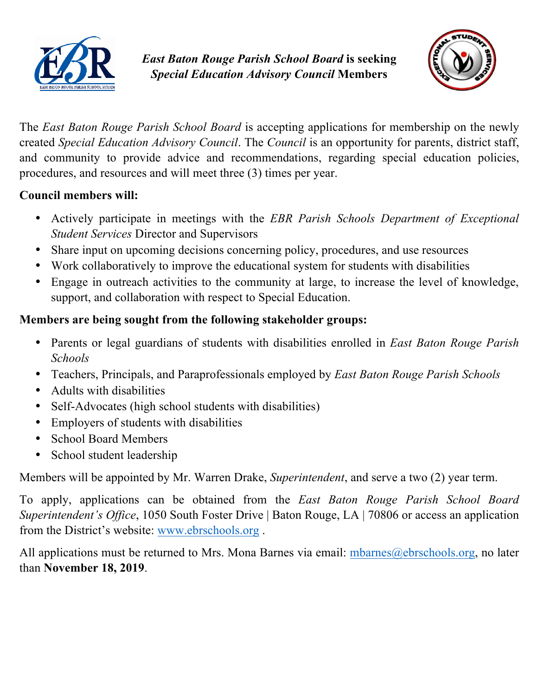



The *East Baton Rouge Parish School Board* is accepting applications for membership on the newly created *Special Education Advisory Council*. The *Council* is an opportunity for parents, district staff, and community to provide advice and recommendations, regarding special education policies, procedures, and resources and will meet three (3) times per year.

## **Council members will:**

- Actively participate in meetings with the *EBR Parish Schools Department of Exceptional Student Services* Director and Supervisors
- Share input on upcoming decisions concerning policy, procedures, and use resources
- Work collaboratively to improve the educational system for students with disabilities
- Engage in outreach activities to the community at large, to increase the level of knowledge, support, and collaboration with respect to Special Education.

## **Members are being sought from the following stakeholder groups:**

- Parents or legal guardians of students with disabilities enrolled in *East Baton Rouge Parish Schools*
- Teachers, Principals, and Paraprofessionals employed by *East Baton Rouge Parish Schools*
- Adults with disabilities
- Self-Advocates (high school students with disabilities)
- Employers of students with disabilities
- School Board Members
- School student leadership

Members will be appointed by Mr. Warren Drake, *Superintendent*, and serve a two (2) year term.

To apply, applications can be obtained from the *East Baton Rouge Parish School Board Superintendent's Office*, 1050 South Foster Drive | Baton Rouge, LA | 70806 or access an application from the District's website: www.ebrschools.org .

All applications must be returned to Mrs. Mona Barnes via email: mbarnes $@e$ brschools.org, no later than **November 18, 2019**.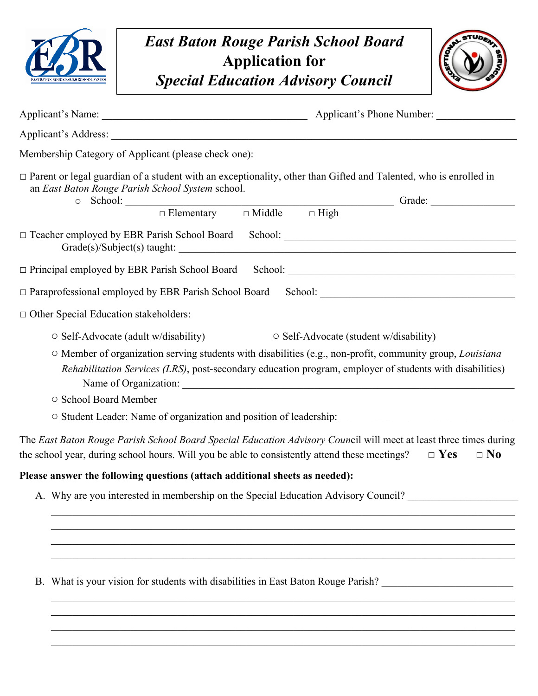



| Membership Category of Applicant (please check one):                                                                                                                                                                                                                                                                                   |
|----------------------------------------------------------------------------------------------------------------------------------------------------------------------------------------------------------------------------------------------------------------------------------------------------------------------------------------|
| □ Parent or legal guardian of a student with an exceptionality, other than Gifted and Talented, who is enrolled in<br>an East Baton Rouge Parish School System school.<br>$\circ$ School: $\Box$ Elementary $\Box$ Middle $\Box$ High Grade: $\Box$                                                                                    |
|                                                                                                                                                                                                                                                                                                                                        |
|                                                                                                                                                                                                                                                                                                                                        |
|                                                                                                                                                                                                                                                                                                                                        |
| $\Box$ Other Special Education stakeholders:                                                                                                                                                                                                                                                                                           |
| $\circ$ Self-Advocate (adult w/disability)<br>○ Self-Advocate (student w/disability)<br>O Member of organization serving students with disabilities (e.g., non-profit, community group, Louisiana<br>Rehabilitation Services (LRS), post-secondary education program, employer of students with disabilities)<br>○ School Board Member |
| The East Baton Rouge Parish School Board Special Education Advisory Council will meet at least three times during<br>the school year, during school hours. Will you be able to consistently attend these meetings?<br>$\square$ No<br>$\Box$ Yes                                                                                       |
| Please answer the following questions (attach additional sheets as needed):                                                                                                                                                                                                                                                            |
| A. Why are you interested in membership on the Special Education Advisory Council?                                                                                                                                                                                                                                                     |
| B. What is your vision for students with disabilities in East Baton Rouge Parish?                                                                                                                                                                                                                                                      |
|                                                                                                                                                                                                                                                                                                                                        |